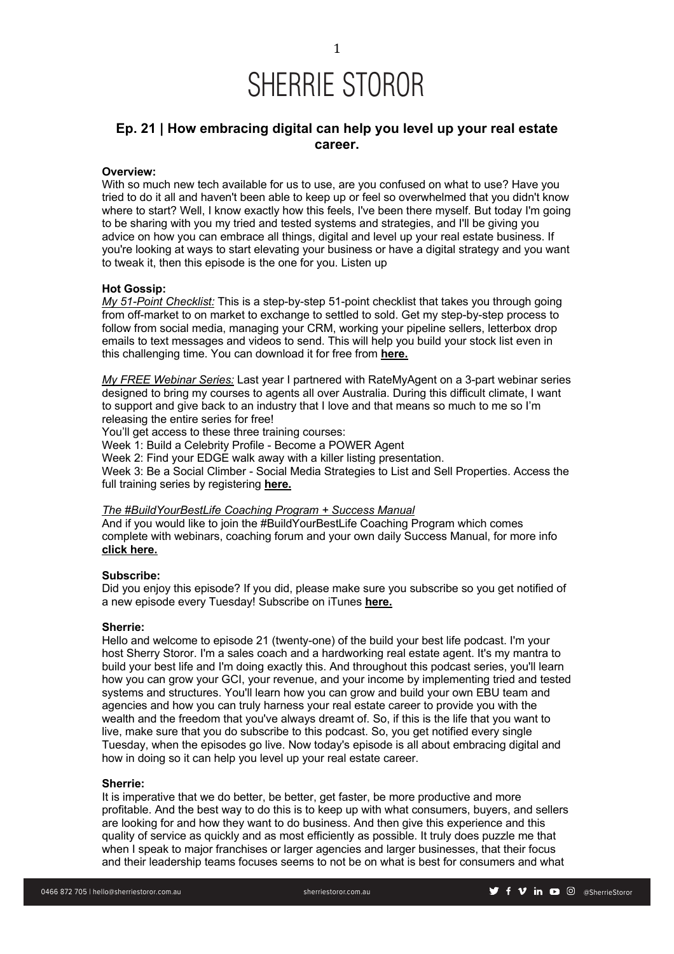

### **Ep. 21 | How embracing digital can help you level up your real estate career.**

### **Overview:**

With so much new tech available for us to use, are you confused on what to use? Have you tried to do it all and haven't been able to keep up or feel so overwhelmed that you didn't know where to start? Well, I know exactly how this feels, I've been there myself. But today I'm going to be sharing with you my tried and tested systems and strategies, and I'll be giving you advice on how you can embrace all things, digital and level up your real estate business. If you're looking at ways to start elevating your business or have a digital strategy and you want to tweak it, then this episode is the one for you. Listen up

#### **Hot Gossip:**

*My 51-Point Checklist:* This is a step-by-step 51-point checklist that takes you through going from off-market to on market to exchange to settled to sold. Get my step-by-step process to follow from social media, managing your CRM, working your pipeline sellers, letterbox drop emails to text messages and videos to send. This will help you build your stock list even in this challenging time. You can download it for free from **here.**

*My FREE Webinar Series:* Last year I partnered with RateMyAgent on a 3-part webinar series designed to bring my courses to agents all over Australia. During this difficult climate, I want to support and give back to an industry that I love and that means so much to me so I'm releasing the entire series for free!

You'll get access to these three training courses:

Week 1: Build a Celebrity Profile - Become a POWER Agent

Week 2: Find your EDGE walk away with a killer listing presentation.

Week 3: Be a Social Climber - Social Media Strategies to List and Sell Properties. Access the full training series by registering **here.**

#### *The #BuildYourBestLife Coaching Program + Success Manual*

And if you would like to join the #BuildYourBestLife Coaching Program which comes complete with webinars, coaching forum and your own daily Success Manual, for more info **click here.**

#### **Subscribe:**

Did you enjoy this episode? If you did, please make sure you subscribe so you get notified of a new episode every Tuesday! Subscribe on iTunes **here.**

#### **Sherrie:**

Hello and welcome to episode 21 (twenty-one) of the build your best life podcast. I'm your host Sherry Storor. I'm a sales coach and a hardworking real estate agent. It's my mantra to build your best life and I'm doing exactly this. And throughout this podcast series, you'll learn how you can grow your GCI, your revenue, and your income by implementing tried and tested systems and structures. You'll learn how you can grow and build your own EBU team and agencies and how you can truly harness your real estate career to provide you with the wealth and the freedom that you've always dreamt of. So, if this is the life that you want to live, make sure that you do subscribe to this podcast. So, you get notified every single Tuesday, when the episodes go live. Now today's episode is all about embracing digital and how in doing so it can help you level up your real estate career.

#### **Sherrie:**

It is imperative that we do better, be better, get faster, be more productive and more profitable. And the best way to do this is to keep up with what consumers, buyers, and sellers are looking for and how they want to do business. And then give this experience and this quality of service as quickly and as most efficiently as possible. It truly does puzzle me that when I speak to major franchises or larger agencies and larger businesses, that their focus and their leadership teams focuses seems to not be on what is best for consumers and what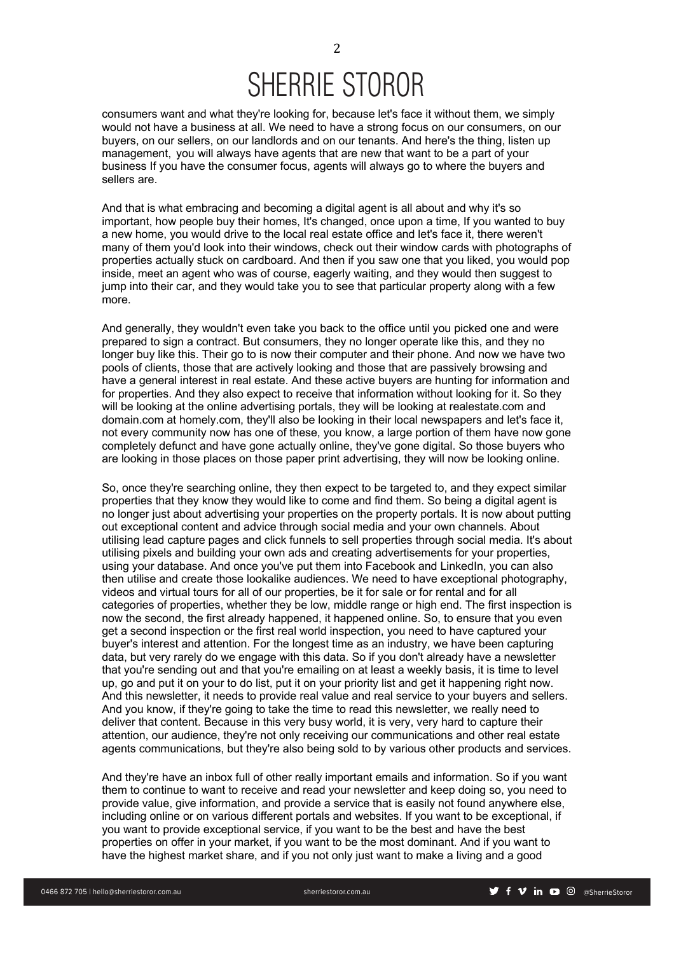### SHERRIE STOROR

consumers want and what they're looking for, because let's face it without them, we simply would not have a business at all. We need to have a strong focus on our consumers, on our buyers, on our sellers, on our landlords and on our tenants. And here's the thing, listen up management, you will always have agents that are new that want to be a part of your business If you have the consumer focus, agents will always go to where the buyers and sellers are.

And that is what embracing and becoming a digital agent is all about and why it's so important, how people buy their homes, It's changed, once upon a time, If you wanted to buy a new home, you would drive to the local real estate office and let's face it, there weren't many of them you'd look into their windows, check out their window cards with photographs of properties actually stuck on cardboard. And then if you saw one that you liked, you would pop inside, meet an agent who was of course, eagerly waiting, and they would then suggest to jump into their car, and they would take you to see that particular property along with a few more.

And generally, they wouldn't even take you back to the office until you picked one and were prepared to sign a contract. But consumers, they no longer operate like this, and they no longer buy like this. Their go to is now their computer and their phone. And now we have two pools of clients, those that are actively looking and those that are passively browsing and have a general interest in real estate. And these active buyers are hunting for information and for properties. And they also expect to receive that information without looking for it. So they will be looking at the online advertising portals, they will be looking at realestate.com and domain.com at homely.com, they'll also be looking in their local newspapers and let's face it, not every community now has one of these, you know, a large portion of them have now gone completely defunct and have gone actually online, they've gone digital. So those buyers who are looking in those places on those paper print advertising, they will now be looking online.

So, once they're searching online, they then expect to be targeted to, and they expect similar properties that they know they would like to come and find them. So being a digital agent is no longer just about advertising your properties on the property portals. It is now about putting out exceptional content and advice through social media and your own channels. About utilising lead capture pages and click funnels to sell properties through social media. It's about utilising pixels and building your own ads and creating advertisements for your properties, using your database. And once you've put them into Facebook and LinkedIn, you can also then utilise and create those lookalike audiences. We need to have exceptional photography, videos and virtual tours for all of our properties, be it for sale or for rental and for all categories of properties, whether they be low, middle range or high end. The first inspection is now the second, the first already happened, it happened online. So, to ensure that you even get a second inspection or the first real world inspection, you need to have captured your buyer's interest and attention. For the longest time as an industry, we have been capturing data, but very rarely do we engage with this data. So if you don't already have a newsletter that you're sending out and that you're emailing on at least a weekly basis, it is time to level up, go and put it on your to do list, put it on your priority list and get it happening right now. And this newsletter, it needs to provide real value and real service to your buyers and sellers. And you know, if they're going to take the time to read this newsletter, we really need to deliver that content. Because in this very busy world, it is very, very hard to capture their attention, our audience, they're not only receiving our communications and other real estate agents communications, but they're also being sold to by various other products and services.

And they're have an inbox full of other really important emails and information. So if you want them to continue to want to receive and read your newsletter and keep doing so, you need to provide value, give information, and provide a service that is easily not found anywhere else, including online or on various different portals and websites. If you want to be exceptional, if you want to provide exceptional service, if you want to be the best and have the best properties on offer in your market, if you want to be the most dominant. And if you want to have the highest market share, and if you not only just want to make a living and a good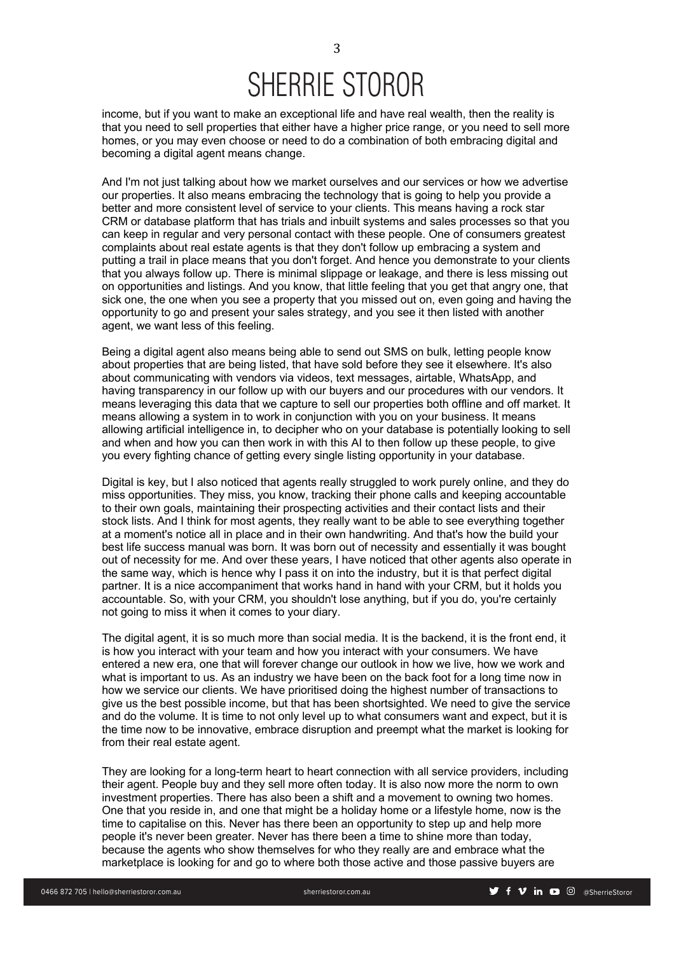# SHERRIE STOROR

income, but if you want to make an exceptional life and have real wealth, then the reality is that you need to sell properties that either have a higher price range, or you need to sell more homes, or you may even choose or need to do a combination of both embracing digital and becoming a digital agent means change.

And I'm not just talking about how we market ourselves and our services or how we advertise our properties. It also means embracing the technology that is going to help you provide a better and more consistent level of service to your clients. This means having a rock star CRM or database platform that has trials and inbuilt systems and sales processes so that you can keep in regular and very personal contact with these people. One of consumers greatest complaints about real estate agents is that they don't follow up embracing a system and putting a trail in place means that you don't forget. And hence you demonstrate to your clients that you always follow up. There is minimal slippage or leakage, and there is less missing out on opportunities and listings. And you know, that little feeling that you get that angry one, that sick one, the one when you see a property that you missed out on, even going and having the opportunity to go and present your sales strategy, and you see it then listed with another agent, we want less of this feeling.

Being a digital agent also means being able to send out SMS on bulk, letting people know about properties that are being listed, that have sold before they see it elsewhere. It's also about communicating with vendors via videos, text messages, airtable, WhatsApp, and having transparency in our follow up with our buyers and our procedures with our vendors. It means leveraging this data that we capture to sell our properties both offline and off market. It means allowing a system in to work in conjunction with you on your business. It means allowing artificial intelligence in, to decipher who on your database is potentially looking to sell and when and how you can then work in with this AI to then follow up these people, to give you every fighting chance of getting every single listing opportunity in your database.

Digital is key, but I also noticed that agents really struggled to work purely online, and they do miss opportunities. They miss, you know, tracking their phone calls and keeping accountable to their own goals, maintaining their prospecting activities and their contact lists and their stock lists. And I think for most agents, they really want to be able to see everything together at a moment's notice all in place and in their own handwriting. And that's how the build your best life success manual was born. It was born out of necessity and essentially it was bought out of necessity for me. And over these years, I have noticed that other agents also operate in the same way, which is hence why I pass it on into the industry, but it is that perfect digital partner. It is a nice accompaniment that works hand in hand with your CRM, but it holds you accountable. So, with your CRM, you shouldn't lose anything, but if you do, you're certainly not going to miss it when it comes to your diary.

The digital agent, it is so much more than social media. It is the backend, it is the front end, it is how you interact with your team and how you interact with your consumers. We have entered a new era, one that will forever change our outlook in how we live, how we work and what is important to us. As an industry we have been on the back foot for a long time now in how we service our clients. We have prioritised doing the highest number of transactions to give us the best possible income, but that has been shortsighted. We need to give the service and do the volume. It is time to not only level up to what consumers want and expect, but it is the time now to be innovative, embrace disruption and preempt what the market is looking for from their real estate agent.

They are looking for a long-term heart to heart connection with all service providers, including their agent. People buy and they sell more often today. It is also now more the norm to own investment properties. There has also been a shift and a movement to owning two homes. One that you reside in, and one that might be a holiday home or a lifestyle home, now is the time to capitalise on this. Never has there been an opportunity to step up and help more people it's never been greater. Never has there been a time to shine more than today, because the agents who show themselves for who they really are and embrace what the marketplace is looking for and go to where both those active and those passive buyers are